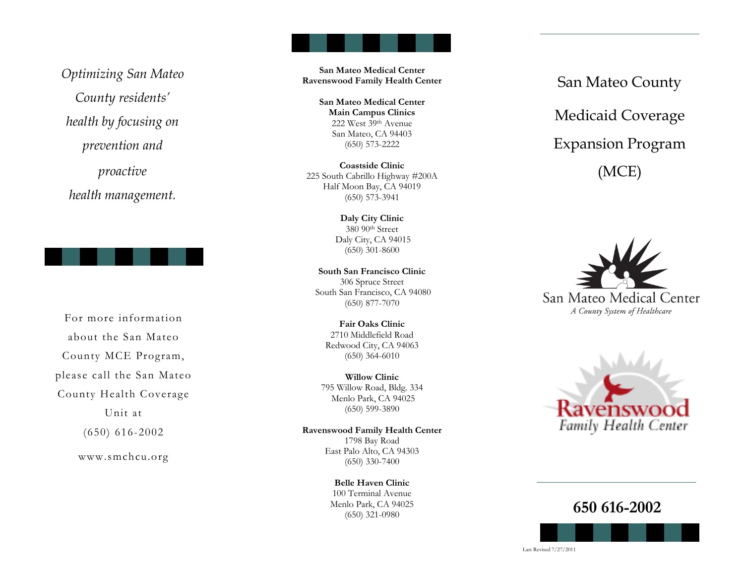*Optimizing San Mateo County residents' health by focusing on prevention and proactive* 

*health management.*



For more information about the San Mateo County MCE Program, please call the San Mateo County Health Coverage Unit at (650) 616-2002

www.smchcu.org

**San Mateo Medical Center Ravenswood Family Health Center** 

> **San Mateo Medical Center Main Campus Clinics**  222 West 39th Avenue San Mateo, CA 94403 (650) 573-2222

**Coastside Clinic**  225 South Cabrillo Highway #200A Half Moon Bay, CA 94019 (650) 573-3941

> **Daly City Clinic**  380 90th Street Daly City, CA 94015 (650) 301-8600

**South San Francisco Clinic**  306 Spruce Street South San Francisco, CA 94080 (650) 877-7070

**Fair Oaks Clinic** 2710 Middlefield Road Redwood City, CA 94063 (650) 364-6010

**Willow Clinic**  795 Willow Road, Bldg. 334 Menlo Park, CA 94025 (650) 599-3890

**Ravenswood Family Health Center**  1798 Bay Road East Palo Alto, CA 94303 (650) 330-7400

> **Belle Haven Clinic** 100 Terminal Avenue Menlo Park, CA 94025 (650) 321-0980

San Mateo County Medicaid Coverage Expansion Program (MCE)





**650 616-2002**